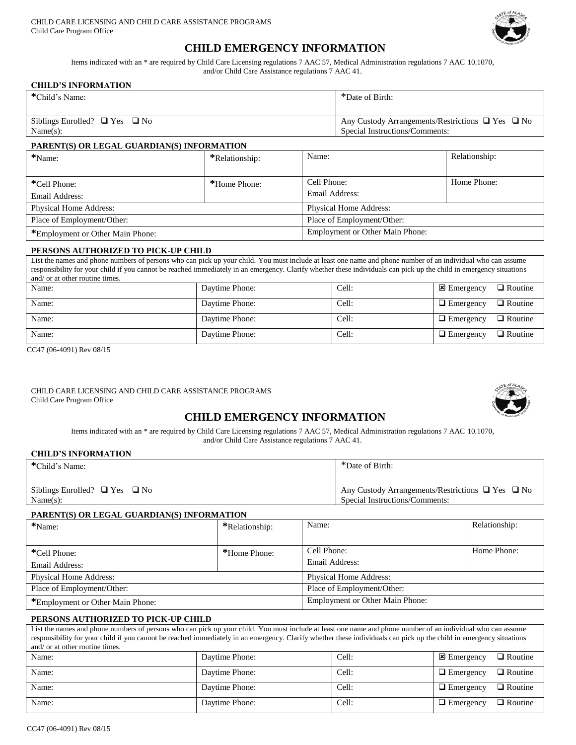

# **CHILD EMERGENCY INFORMATION**

Items indicated with an \* are required by Child Care Licensing regulations 7 AAC 57, Medical Administration regulations 7 AAC 10.1070, and/or Child Care Assistance regulations 7 AAC 41.

#### **CHILD'S INFORMATION**

| *Child's Name:                          | *Date of Birth:                                            |
|-----------------------------------------|------------------------------------------------------------|
| Siblings Enrolled? $\Box$ Yes $\Box$ No | Any Custody Arrangements/Restrictions $\Box$ Yes $\Box$ No |
| Name(s):                                | Special Instructions/Comments:                             |

### **PARENT(S) OR LEGAL GUARDIAN(S) INFORMATION**

| *Name:                           | *Relationship: | Name:                                  | Relationship: |
|----------------------------------|----------------|----------------------------------------|---------------|
|                                  |                |                                        |               |
| *Cell Phone:                     | *Home Phone:   | Cell Phone:                            | Home Phone:   |
| Email Address:                   |                | Email Address:                         |               |
| <b>Physical Home Address:</b>    |                | <b>Physical Home Address:</b>          |               |
| Place of Employment/Other:       |                | Place of Employment/Other:             |               |
| *Employment or Other Main Phone: |                | <b>Employment or Other Main Phone:</b> |               |

#### **PERSONS AUTHORIZED TO PICK-UP CHILD**

List the names and phone numbers of persons who can pick up your child. You must include at least one name and phone number of an individual who can assume responsibility for your child if you cannot be reached immediately in an emergency. Clarify whether these individuals can pick up the child in emergency situations and/ or at other routine times.

| Name: | Daytime Phone: | Cell: | $\Box$ Routine<br>$\mathbf{\Sigma}$ Emergency |
|-------|----------------|-------|-----------------------------------------------|
| Name: | Daytime Phone: | Cell: | $\Box$ Routine<br>$\Box$ Emergency            |
| Name: | Daytime Phone: | Cell: | $\Box$ Routine<br>$\Box$ Emergency            |
| Name: | Daytime Phone: | Cell: | $\Box$ Routine<br>$\Box$ Emergency            |

CC47 (06-4091) Rev 08/15

#### CHILD CARE LICENSING AND CHILD CARE ASSISTANCE PROGRAMS Child Care Program Office



# **CHILD EMERGENCY INFORMATION**

Items indicated with an \* are required by Child Care Licensing regulations 7 AAC 57, Medical Administration regulations 7 AAC 10.1070, and/or Child Care Assistance regulations 7 AAC 41.

#### **CHILD'S INFORMATION**

| *Child's Name:                          | *Date of Birth:                                            |
|-----------------------------------------|------------------------------------------------------------|
|                                         |                                                            |
| Siblings Enrolled? $\Box$ Yes $\Box$ No | Any Custody Arrangements/Restrictions $\Box$ Yes $\Box$ No |
| Name(s):                                | Special Instructions/Comments:                             |

#### **PARENT(S) OR LEGAL GUARDIAN(S) INFORMATION**

| *Name:                           | *Relationship: | Name:                                  | Relationship: |
|----------------------------------|----------------|----------------------------------------|---------------|
|                                  |                |                                        |               |
| *Cell Phone:                     | *Home Phone:   | Cell Phone:                            | Home Phone:   |
| Email Address:                   |                | Email Address:                         |               |
| <b>Physical Home Address:</b>    |                | <b>Physical Home Address:</b>          |               |
| Place of Employment/Other:       |                | Place of Employment/Other:             |               |
| *Employment or Other Main Phone: |                | <b>Employment or Other Main Phone:</b> |               |

#### **PERSONS AUTHORIZED TO PICK-UP CHILD**

| List the names and phone numbers of persons who can pick up your child. You must include at least one name and phone number of an individual who can assume<br>responsibility for your child if you cannot be reached immediately in an emergency. Clarify whether these individuals can pick up the child in emergency situations<br>and/ or at other routine times. |                |       |                                    |  |  |
|-----------------------------------------------------------------------------------------------------------------------------------------------------------------------------------------------------------------------------------------------------------------------------------------------------------------------------------------------------------------------|----------------|-------|------------------------------------|--|--|
| Name:                                                                                                                                                                                                                                                                                                                                                                 | Daytime Phone: | Cell: | $\Box$ Routine<br>$\Xi$ Emergency  |  |  |
| Name:                                                                                                                                                                                                                                                                                                                                                                 | Daytime Phone: | Cell: | $\Box$ Routine<br>$\Box$ Emergency |  |  |
| Name:                                                                                                                                                                                                                                                                                                                                                                 | Daytime Phone: | Cell: | $\Box$ Routine<br>$\Box$ Emergency |  |  |
| Name:                                                                                                                                                                                                                                                                                                                                                                 | Daytime Phone: | Cell: | $\Box$ Routine<br>$\Box$ Emergency |  |  |